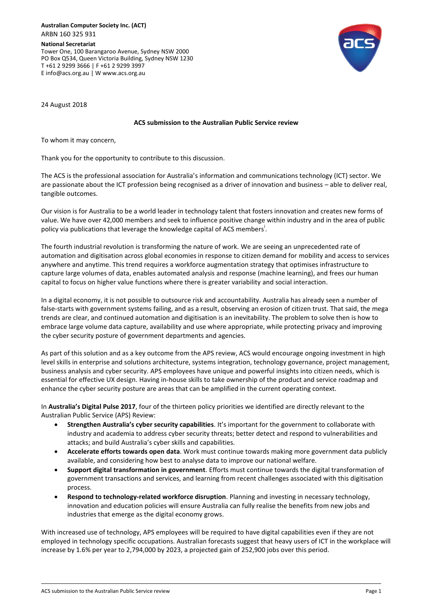**National Secretariat** Tower One, 100 Barangaroo Avenue, Sydney NSW 2000 PO Box Q534, Queen Victoria Building, Sydney NSW 1230 T +61 2 9299 3666 | F +61 2 9299 3997 E info@acs.org.au | W www.acs.org.au



24 August 2018

## **ACS submission to the Australian Public Service review**

To whom it may concern,

Thank you for the opportunity to contribute to this discussion.

The ACS is the professional association for Australia's information and communications technology (ICT) sector. We are passionate about the ICT profession being recognised as a driver of innovation and business – able to deliver real, tangible outcomes.

Our vision is for Australia to be a world leader in technology talent that fosters innovation and creates new forms of value. We have over 42,000 members and seek to influence positive change within industry and in the area of public policy via publications that leverage the knowledge capital of ACS members<sup>1</sup>.

The fourth industrial revolution is transforming the nature of work. We are seeing an unprecedented rate of automation and digitisation across global economies in response to citizen demand for mobility and access to services anywhere and anytime. This trend requires a workforce augmentation strategy that optimises infrastructure to capture large volumes of data, enables automated analysis and response (machine learning), and frees our human capital to focus on higher value functions where there is greater variability and social interaction.

In a digital economy, it is not possible to outsource risk and accountability. Australia has already seen a number of false-starts with government systems failing, and as a result, observing an erosion of citizen trust. That said, the mega trends are clear, and continued automation and digitisation is an inevitability. The problem to solve then is how to embrace large volume data capture, availability and use where appropriate, while protecting privacy and improving the cyber security posture of government departments and agencies.

As part of this solution and as a key outcome from the APS review, ACS would encourage ongoing investment in high level skills in enterprise and solutions architecture, systems integration, technology governance, project management, business analysis and cyber security. APS employees have unique and powerful insights into citizen needs, which is essential for effective UX design. Having in-house skills to take ownership of the product and service roadmap and enhance the cyber security posture are areas that can be amplified in the current operating context.

In **Australia's Digital Pulse 2017**, four of the thirteen policy priorities we identified are directly relevant to the Australian Public Service (APS) Review:

- **Strengthen Australia's cyber security capabilities**. It's important for the government to collaborate with industry and academia to address cyber security threats; better detect and respond to vulnerabilities and attacks; and build Australia's cyber skills and capabilities.
- **Accelerate efforts towards open data**. Work must continue towards making more government data publicly available, and considering how best to analyse data to improve our national welfare.
- **Support digital transformation in government**. Efforts must continue towards the digital transformation of government transactions and services, and learning from recent challenges associated with this digitisation process.
- **Respond to technology-related workforce disruption**. Planning and investing in necessary technology, innovation and education policies will ensure Australia can fully realise the benefits from new jobs and industries that emerge as the digital economy grows.

With increased use of technology, APS employees will be required to have digital capabilities even if they are not employed in technology specific occupations. Australian forecasts suggest that heavy users of ICT in the workplace will increase by 1.6% per year to 2,794,000 by 2023, a projected gain of 252,900 jobs over this period.